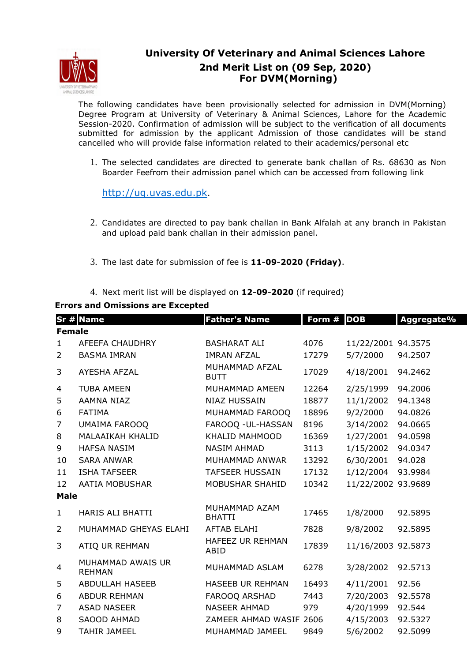

## **University Of Veterinary and Animal Sciences Lahore 2nd Merit List on (09 Sep, 2020) For DVM(Morning)**

The following candidates have been provisionally selected for admission in DVM(Morning) Degree Program at University of Veterinary & Animal Sciences, Lahore for the Academic Session-2020. Confirmation of admission will be subject to the verification of all documents submitted for admission by the applicant Admission of those candidates will be stand cancelled who will provide false information related to their academics/personal etc

1. The selected candidates are directed to generate bank challan of Rs. 68630 as Non Boarder Feefrom their admission panel which can be accessed from following link

http://ug.uvas.edu.pk.

- 2. Candidates are directed to pay bank challan in Bank Alfalah at any branch in Pakistan and upload paid bank challan in their admission panel.
- 3. The last date for submission of fee is **11-09-2020 (Friday)**.
- 4. Next merit list will be displayed on **12-09-2020** (if required)

## **Errors and Omissions are Excepted**

|                | Sr # Name                          | <b>Father's Name</b>            | Form # | <b>DOB</b>         | Aggregate% |  |  |  |
|----------------|------------------------------------|---------------------------------|--------|--------------------|------------|--|--|--|
| <b>Female</b>  |                                    |                                 |        |                    |            |  |  |  |
| $\mathbf{1}$   | <b>AFEEFA CHAUDHRY</b>             | <b>BASHARAT ALI</b>             | 4076   | 11/22/2001 94.3575 |            |  |  |  |
| 2              | <b>BASMA IMRAN</b>                 | <b>IMRAN AFZAL</b>              | 17279  | 5/7/2000           | 94.2507    |  |  |  |
| 3              | AYESHA AFZAL                       | MUHAMMAD AFZAL<br><b>BUTT</b>   | 17029  | 4/18/2001          | 94.2462    |  |  |  |
| 4              | <b>TUBA AMEEN</b>                  | MUHAMMAD AMEEN                  | 12264  | 2/25/1999          | 94.2006    |  |  |  |
| 5              | AAMNA NIAZ                         | <b>NIAZ HUSSAIN</b>             | 18877  | 11/1/2002          | 94.1348    |  |  |  |
| 6              | <b>FATIMA</b>                      | MUHAMMAD FAROOQ                 | 18896  | 9/2/2000           | 94.0826    |  |  |  |
| $\overline{7}$ | UMAIMA FAROOQ                      | FAROOQ - UL-HASSAN              | 8196   | 3/14/2002          | 94.0665    |  |  |  |
| 8              | <b>MALAAIKAH KHALID</b>            | KHALID MAHMOOD                  | 16369  | 1/27/2001          | 94.0598    |  |  |  |
| 9              | <b>HAFSA NASIM</b>                 | <b>NASIM AHMAD</b>              | 3113   | 1/15/2002          | 94.0347    |  |  |  |
| 10             | <b>SARA ANWAR</b>                  | MUHAMMAD ANWAR                  | 13292  | 6/30/2001          | 94.028     |  |  |  |
| 11             | <b>ISHA TAFSEER</b>                | <b>TAFSEER HUSSAIN</b>          | 17132  | 1/12/2004          | 93.9984    |  |  |  |
| 12             | <b>AATIA MOBUSHAR</b>              | MOBUSHAR SHAHID                 | 10342  | 11/22/2002 93.9689 |            |  |  |  |
| <b>Male</b>    |                                    |                                 |        |                    |            |  |  |  |
| $\mathbf{1}$   | <b>HARIS ALI BHATTI</b>            | MUHAMMAD AZAM<br><b>BHATTI</b>  | 17465  | 1/8/2000           | 92.5895    |  |  |  |
| $\overline{2}$ | MUHAMMAD GHEYAS ELAHI              | <b>AFTAB ELAHI</b>              | 7828   | 9/8/2002           | 92.5895    |  |  |  |
| 3              | ATIQ UR REHMAN                     | <b>HAFEEZ UR REHMAN</b><br>ABID | 17839  | 11/16/2003 92.5873 |            |  |  |  |
| 4              | MUHAMMAD AWAIS UR<br><b>REHMAN</b> | MUHAMMAD ASLAM                  | 6278   | 3/28/2002          | 92.5713    |  |  |  |
| 5              | <b>ABDULLAH HASEEB</b>             | HASEEB UR REHMAN                | 16493  | 4/11/2001          | 92.56      |  |  |  |
| 6              | <b>ABDUR REHMAN</b>                | <b>FAROOQ ARSHAD</b>            | 7443   | 7/20/2003          | 92.5578    |  |  |  |
| 7              | <b>ASAD NASEER</b>                 | <b>NASEER AHMAD</b>             | 979    | 4/20/1999          | 92.544     |  |  |  |
| 8              | SAOOD AHMAD                        | ZAMEER AHMAD WASIF 2606         |        | 4/15/2003          | 92.5327    |  |  |  |
| 9              | <b>TAHIR JAMEEL</b>                | MUHAMMAD JAMEEL                 | 9849   | 5/6/2002           | 92.5099    |  |  |  |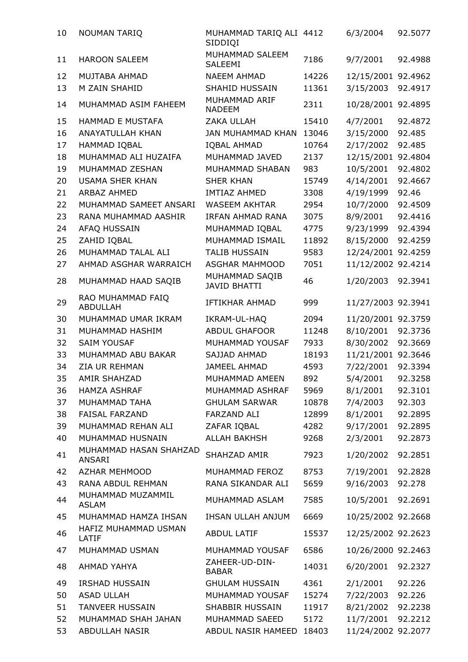| 10 | <b>NOUMAN TARIQ</b>                  | MUHAMMAD TARIQ ALI 4412<br>SIDDIQI    |       | 6/3/2004           | 92.5077 |
|----|--------------------------------------|---------------------------------------|-------|--------------------|---------|
| 11 | <b>HAROON SALEEM</b>                 | MUHAMMAD SALEEM<br>SALEEMI            | 7186  | 9/7/2001           | 92.4988 |
| 12 | MUJTABA AHMAD                        | <b>NAEEM AHMAD</b>                    | 14226 | 12/15/2001 92.4962 |         |
| 13 | M ZAIN SHAHID                        | SHAHID HUSSAIN                        | 11361 | 3/15/2003          | 92.4917 |
| 14 | MUHAMMAD ASIM FAHEEM                 | MUHAMMAD ARIF<br><b>NADEEM</b>        | 2311  | 10/28/2001         | 92.4895 |
| 15 | <b>HAMMAD E MUSTAFA</b>              | ZAKA ULLAH                            | 15410 | 4/7/2001           | 92.4872 |
| 16 | <b>ANAYATULLAH KHAN</b>              | <b>JAN MUHAMMAD KHAN</b>              | 13046 | 3/15/2000          | 92.485  |
| 17 | HAMMAD IQBAL                         | <b>IQBAL AHMAD</b>                    | 10764 | 2/17/2002          | 92.485  |
| 18 | MUHAMMAD ALI HUZAIFA                 | MUHAMMAD JAVED                        | 2137  | 12/15/2001         | 92.4804 |
| 19 | MUHAMMAD ZESHAN                      | MUHAMMAD SHABAN                       | 983   | 10/5/2001          | 92.4802 |
| 20 | <b>USAMA SHER KHAN</b>               | <b>SHER KHAN</b>                      | 15749 | 4/14/2001          | 92.4667 |
| 21 | <b>ARBAZ AHMED</b>                   | <b>IMTIAZ AHMED</b>                   | 3308  | 4/19/1999          | 92.46   |
| 22 | MUHAMMAD SAMEET ANSARI               | <b>WASEEM AKHTAR</b>                  | 2954  | 10/7/2000          | 92.4509 |
| 23 | RANA MUHAMMAD AASHIR                 | <b>IRFAN AHMAD RANA</b>               | 3075  | 8/9/2001           | 92.4416 |
| 24 | AFAQ HUSSAIN                         | MUHAMMAD IQBAL                        | 4775  | 9/23/1999          | 92.4394 |
| 25 | ZAHID IQBAL                          | MUHAMMAD ISMAIL                       | 11892 | 8/15/2000          | 92.4259 |
| 26 | MUHAMMAD TALAL ALI                   | <b>TALIB HUSSAIN</b>                  | 9583  | 12/24/2001 92.4259 |         |
| 27 | AHMAD ASGHAR WARRAICH                | <b>ASGHAR MAHMOOD</b>                 | 7051  | 11/12/2002 92.4214 |         |
| 28 | MUHAMMAD HAAD SAQIB                  | MUHAMMAD SAQIB<br><b>JAVID BHATTI</b> | 46    | 1/20/2003          | 92.3941 |
| 29 | RAO MUHAMMAD FAIQ<br><b>ABDULLAH</b> | IFTIKHAR AHMAD                        | 999   | 11/27/2003 92.3941 |         |
| 30 | MUHAMMAD UMAR IKRAM                  | IKRAM-UL-HAQ                          | 2094  | 11/20/2001 92.3759 |         |
| 31 | MUHAMMAD HASHIM                      | <b>ABDUL GHAFOOR</b>                  | 11248 | 8/10/2001          | 92.3736 |
| 32 | <b>SAIM YOUSAF</b>                   | MUHAMMAD YOUSAF                       | 7933  | 8/30/2002          | 92.3669 |
| 33 | MUHAMMAD ABU BAKAR                   | SAJJAD AHMAD                          | 18193 | 11/21/2001         | 92.3646 |
| 34 | <b>ZIA UR REHMAN</b>                 | <b>JAMEEL AHMAD</b>                   | 4593  | 7/22/2001          | 92.3394 |
| 35 | AMIR SHAHZAD                         | MUHAMMAD AMEEN                        | 892   | 5/4/2001           | 92.3258 |
| 36 | <b>HAMZA ASHRAF</b>                  | MUHAMMAD ASHRAF                       | 5969  | 8/1/2001           | 92.3101 |
| 37 | MUHAMMAD TAHA                        | <b>GHULAM SARWAR</b>                  | 10878 | 7/4/2003           | 92.303  |
| 38 | <b>FAISAL FARZAND</b>                | <b>FARZAND ALI</b>                    | 12899 | 8/1/2001           | 92.2895 |
| 39 | MUHAMMAD REHAN ALI                   | ZAFAR IQBAL                           | 4282  | 9/17/2001          | 92.2895 |
| 40 | MUHAMMAD HUSNAIN                     | ALLAH BAKHSH                          | 9268  | 2/3/2001           | 92.2873 |
| 41 | MUHAMMAD HASAN SHAHZAD<br>ANSARI     | SHAHZAD AMIR                          | 7923  | 1/20/2002          | 92.2851 |
| 42 | <b>AZHAR MEHMOOD</b>                 | MUHAMMAD FEROZ                        | 8753  | 7/19/2001          | 92.2828 |
| 43 | RANA ABDUL REHMAN                    | RANA SIKANDAR ALI                     | 5659  | 9/16/2003          | 92.278  |
| 44 | MUHAMMAD MUZAMMIL<br><b>ASLAM</b>    | MUHAMMAD ASLAM                        | 7585  | 10/5/2001          | 92.2691 |
| 45 | MUHAMMAD HAMZA IHSAN                 | IHSAN ULLAH ANJUM                     | 6669  | 10/25/2002 92.2668 |         |
| 46 | HAFIZ MUHAMMAD USMAN<br>LATIF        | <b>ABDUL LATIF</b>                    | 15537 | 12/25/2002 92.2623 |         |
| 47 | MUHAMMAD USMAN                       | MUHAMMAD YOUSAF                       | 6586  | 10/26/2000 92.2463 |         |
| 48 | AHMAD YAHYA                          | ZAHEER-UD-DIN-<br><b>BABAR</b>        | 14031 | 6/20/2001          | 92.2327 |
| 49 | <b>IRSHAD HUSSAIN</b>                | <b>GHULAM HUSSAIN</b>                 | 4361  | 2/1/2001           | 92.226  |
| 50 | <b>ASAD ULLAH</b>                    | MUHAMMAD YOUSAF                       | 15274 | 7/22/2003          | 92.226  |
| 51 | <b>TANVEER HUSSAIN</b>               | <b>SHABBIR HUSSAIN</b>                | 11917 | 8/21/2002          | 92.2238 |
| 52 | MUHAMMAD SHAH JAHAN                  | MUHAMMAD SAEED                        | 5172  | 11/7/2001          | 92.2212 |
| 53 | ABDULLAH NASIR                       | ABDUL NASIR HAMEED 18403              |       | 11/24/2002 92.2077 |         |